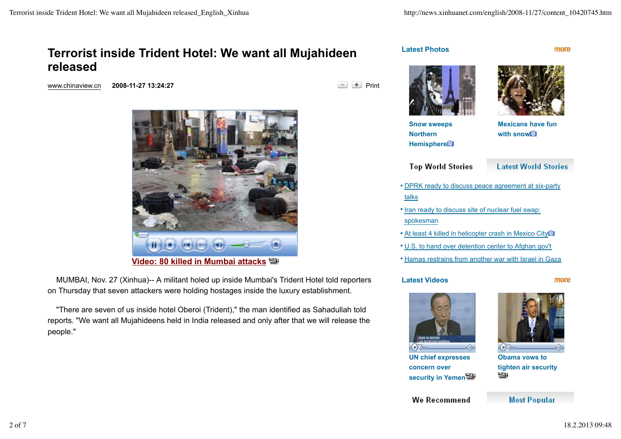# **Terrorist inside Trident Hotel: We want all Mujahideen released**

www.chinaview.cn 2008-11-27 13:24:27 **Print Print** 



 MUMBAI, Nov. 27 (Xinhua)-- A militant holed up inside Mumbai's Trident Hotel told reporters on Thursday that seven attackers were holding hostages inside the luxury establishment.

 "There are seven of us inside hotel Oberoi (Trident)," the man identified as Sahadullah told reports. "We want all Mujahideens held in India released and only after that we will release the people."



**Latest Photos**



more

**Snow sweeps Northern Hemisphere**

**Mexicans have fun with snow**

**Top World Stories** 

**Latest World Stories** 

- **DPRK ready to discuss peace agreement at six-party** talks
- **If Iran ready to discuss site of nuclear fuel swap:** spokesman
- **At least 4 killed in helicopter crash in Mexico City**
- U.S. to hand over detention center to Afghan gov't
- **Hamas restrains from another war with Israel in Gaza**

#### **Latest Videos**

#### more



**UN chief expresses concern over security in Yemen**



**Obama vows to tighten air security** э

**Most Popular** 

We Recommend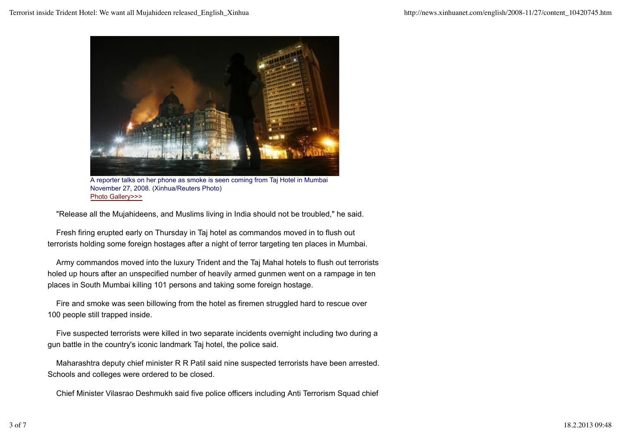

A reporter talks on her phone as smoke is seen coming from Taj Hotel in Mumbai November 27, 2008. (Xinhua/Reuters Photo) Photo Gallery>>>

"Release all the Mujahideens, and Muslims living in India should not be troubled," he said.

 Fresh firing erupted early on Thursday in Taj hotel as commandos moved in to flush out terrorists holding some foreign hostages after a night of terror targeting ten places in Mumbai.

 Army commandos moved into the luxury Trident and the Taj Mahal hotels to flush out terrorists holed up hours after an unspecified number of heavily armed gunmen went on a rampage in ten places in South Mumbai killing 101 persons and taking some foreign hostage.

 Fire and smoke was seen billowing from the hotel as firemen struggled hard to rescue over 100 people still trapped inside.

 Five suspected terrorists were killed in two separate incidents overnight including two during a gun battle in the country's iconic landmark Taj hotel, the police said.

 Maharashtra deputy chief minister R R Patil said nine suspected terrorists have been arrested. Schools and colleges were ordered to be closed.

Chief Minister Vilasrao Deshmukh said five police officers including Anti Terrorism Squad chief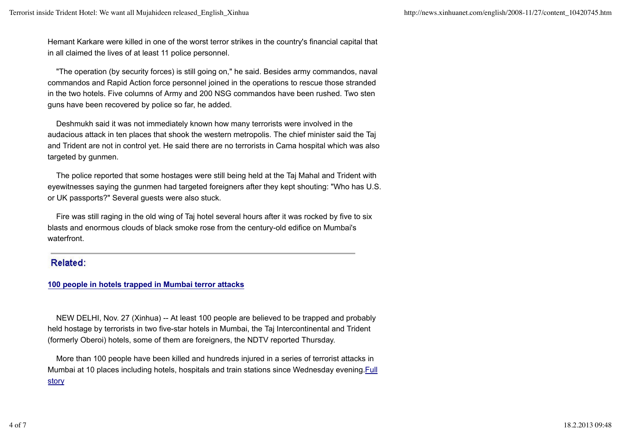Hemant Karkare were killed in one of the worst terror strikes in the country's financial capital that in all claimed the lives of at least 11 police personnel.

 "The operation (by security forces) is still going on," he said. Besides army commandos, naval commandos and Rapid Action force personnel joined in the operations to rescue those stranded in the two hotels. Five columns of Army and 200 NSG commandos have been rushed. Two sten guns have been recovered by police so far, he added.

 Deshmukh said it was not immediately known how many terrorists were involved in the audacious attack in ten places that shook the western metropolis. The chief minister said the Taj and Trident are not in control yet. He said there are no terrorists in Cama hospital which was also targeted by gunmen.

 The police reported that some hostages were still being held at the Taj Mahal and Trident with eyewitnesses saying the gunmen had targeted foreigners after they kept shouting: "Who has U.S. or UK passports?" Several guests were also stuck.

 Fire was still raging in the old wing of Taj hotel several hours after it was rocked by five to six blasts and enormous clouds of black smoke rose from the century-old edifice on Mumbai's waterfront.

# Related:

### **100 people in hotels trapped in Mumbai terror attacks**

 NEW DELHI, Nov. 27 (Xinhua) -- At least 100 people are believed to be trapped and probably held hostage by terrorists in two five-star hotels in Mumbai, the Taj Intercontinental and Trident (formerly Oberoi) hotels, some of them are foreigners, the NDTV reported Thursday.

 More than 100 people have been killed and hundreds injured in a series of terrorist attacks in Mumbai at 10 places including hotels, hospitals and train stations since Wednesday evening.Full **story**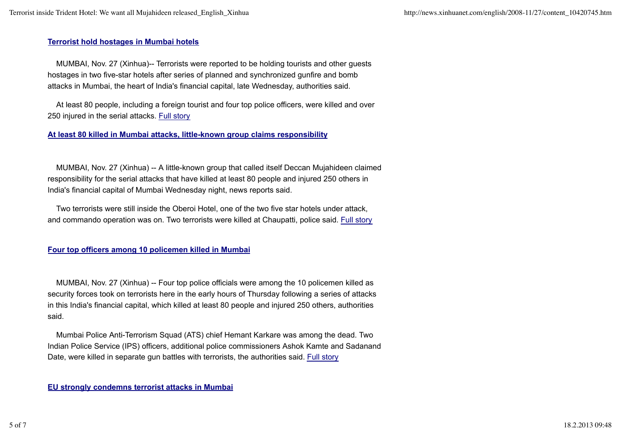#### **Terrorist hold hostages in Mumbai hotels**

 MUMBAI, Nov. 27 (Xinhua)-- Terrorists were reported to be holding tourists and other guests hostages in two five-star hotels after series of planned and synchronized gunfire and bomb attacks in Mumbai, the heart of India's financial capital, late Wednesday, authorities said.

 At least 80 people, including a foreign tourist and four top police officers, were killed and over 250 injured in the serial attacks. Full story

#### **At least 80 killed in Mumbai attacks, little-known group claims responsibility**

 MUMBAI, Nov. 27 (Xinhua) -- A little-known group that called itself Deccan Mujahideen claimed responsibility for the serial attacks that have killed at least 80 people and injured 250 others in India's financial capital of Mumbai Wednesday night, news reports said.

 Two terrorists were still inside the Oberoi Hotel, one of the two five star hotels under attack, and commando operation was on. Two terrorists were killed at Chaupatti, police said. Full story

#### **Four top officers among 10 policemen killed in Mumbai**

 MUMBAI, Nov. 27 (Xinhua) -- Four top police officials were among the 10 policemen killed as security forces took on terrorists here in the early hours of Thursday following a series of attacks in this India's financial capital, which killed at least 80 people and injured 250 others, authorities said.

 Mumbai Police Anti-Terrorism Squad (ATS) chief Hemant Karkare was among the dead. Two Indian Police Service (IPS) officers, additional police commissioners Ashok Kamte and Sadanand Date, were killed in separate gun battles with terrorists, the authorities said. Full story